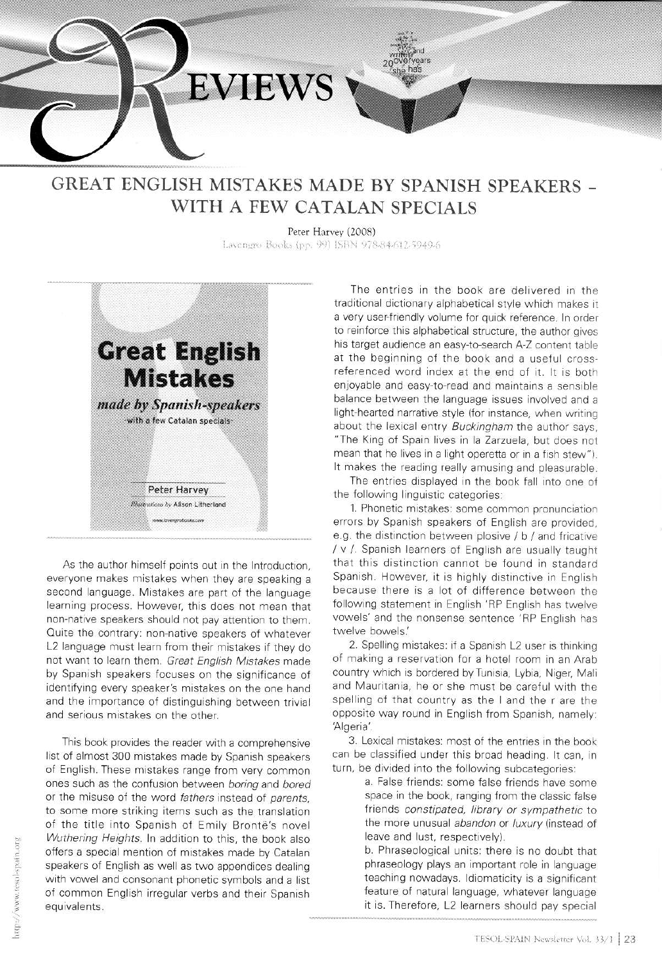

## **GREAT ENGLISH MISTAKES MADE BY SPANISH SPEAKERS -**WITH A FEW CATALAN SPECIALS

Peter Harvey (2008) Lavengro Books (pp. 99) ISBN 978-84-612-5949-6



As the author himself points out in the Introduction. everyone makes mistakes when they are speaking a second language. Mistakes are part of the language learning process. However, this does not mean that non-native speakers should not pay attention to them. Quite the contrary: non-native speakers of whatever L2 language must learn from their mistakes if they do not want to learn them. Great English Mistakes made by Spanish speakers focuses on the significance of identifying every speaker's mistakes on the one hand and the importance of distinguishing between trivial and serious mistakes on the other.

This book provides the reader with a comprehensive list of almost 300 mistakes made by Spanish speakers of English. These mistakes range from very common ones such as the confusion between boring and bored or the misuse of the word fathers instead of parents, to some more striking items such as the translation of the title into Spanish of Emily Brontë's novel Wuthering Heights. In addition to this, the book also offers a special mention of mistakes made by Catalan speakers of English as well as two appendices dealing with vowel and consonant phonetic symbols and a list of common English irregular verbs and their Spanish equivalents.

The entries in the book are delivered in the traditional dictionary alphabetical style which makes it a very user-friendly volume for quick reference. In order to reinforce this alphabetical structure, the author gives his target audience an easy-to-search A-Z content table at the beginning of the book and a useful crossreferenced word index at the end of it. It is both enjoyable and easy-to-read and maintains a sensible balance between the language issues involved and a light-hearted narrative style (for instance, when writing about the lexical entry Buckingham the author says, "The King of Spain lives in la Zarzuela, but does not mean that he lives in a light operetta or in a fish stew"). It makes the reading really amusing and pleasurable.

The entries displayed in the book fall into one of the following linguistic categories:

1. Phonetic mistakes: some common pronunciation errors by Spanish speakers of English are provided, e.g. the distinction between plosive / b / and fricative / v /. Spanish learners of English are usually taught that this distinction cannot be found in standard Spanish. However, it is highly distinctive in English because there is a lot of difference between the following statement in English 'RP English has twelve vowels' and the nonsense sentence 'RP English has twelve bowels.

2. Spelling mistakes: if a Spanish L2 user is thinking of making a reservation for a hotel room in an Arab country which is bordered by Tunisia, Lybia, Niger, Mali and Mauritania, he or she must be careful with the spelling of that country as the I and the r are the opposite way round in English from Spanish, namely: 'Algeria'.

3. Lexical mistakes: most of the entries in the book can be classified under this broad heading. It can, in turn, be divided into the following subcategories:

> a. False friends: some false friends have some space in the book, ranging from the classic false friends constipated, library or sympathetic to the more unusual abandon or luxury (instead of leave and lust, respectively).

> b. Phraseological units: there is no doubt that phraseology plays an important role in language teaching nowadays. Idiomaticity is a significant feature of natural language, whatever language it is. Therefore, L2 learners should pay special